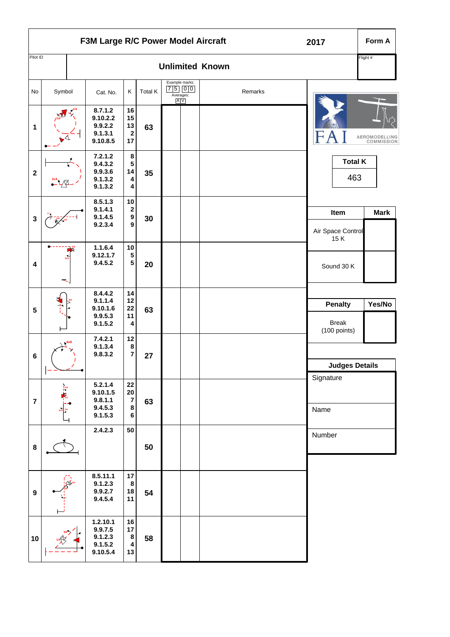| F3M Large R/C Power Model Aircraft |                     |  |                                                       |                                                           |         |                                                                                                             |  |                        | 2017                                           | Form A                      |
|------------------------------------|---------------------|--|-------------------------------------------------------|-----------------------------------------------------------|---------|-------------------------------------------------------------------------------------------------------------|--|------------------------|------------------------------------------------|-----------------------------|
| Pilot ID                           |                     |  |                                                       |                                                           |         |                                                                                                             |  | <b>Unlimited Known</b> |                                                | Flight #                    |
| No                                 | Symbol              |  | Cat. No.                                              | Κ                                                         | Total K | Example marks:<br>$\begin{array}{ c c } \hline 7 & 5 & 0 & 0 \\ \hline \text{Averages:} \end{array}$<br>A V |  | Remarks                |                                                |                             |
| 1                                  |                     |  | 8.7.1.2<br>9.10.2.2<br>9.9.2.2<br>9.1.3.1<br>9.10.8.5 | 16<br>15<br>13<br>$\bf 2$<br>17                           | 63      |                                                                                                             |  |                        |                                                | AEROMODELLING<br>COMMISSION |
| $\mathbf 2$                        |                     |  | 7.2.1.2<br>9.4.3.2<br>9.9.3.6<br>9.1.3.2<br>9.1.3.2   | 8<br>5<br>14<br>$\pmb{4}$<br>4                            | 35      |                                                                                                             |  |                        | <b>Total K</b><br>463                          |                             |
| $\mathbf 3$                        |                     |  | 8.5.1.3<br>9.1.4.1<br>9.1.4.5<br>9.2.3.4              | $10\,$<br>$\mathbf 2$<br>$\boldsymbol{9}$<br>9            | 30      |                                                                                                             |  |                        | Item<br>Air Space Control<br>15K               | <b>Mark</b>                 |
| 4                                  |                     |  | 1.1.6.4<br>9.12.1.7<br>9.4.5.2                        | $10\,$<br>${\bf 5}$<br>$\overline{\mathbf{5}}$            | 20      |                                                                                                             |  |                        | Sound 30 K                                     |                             |
| 5                                  |                     |  | 8.4.4.2<br>9.1.1.4<br>9.10.1.6<br>9.9.5.3<br>9.1.5.2  | 14<br>12<br>22<br>11<br>4                                 | 63      |                                                                                                             |  |                        | <b>Penalty</b><br><b>Break</b><br>(100 points) | Yes/No                      |
| $\bf 6$                            | 4x8<br>$\mathbf{I}$ |  | 7.4.2.1<br>9.1.3.4<br>9.8.3.2                         | 12<br>8<br>$\overline{\mathbf{7}}$                        | 27      |                                                                                                             |  |                        | <b>Judges Details</b>                          |                             |
| $\overline{7}$                     | $\frac{1}{2}$       |  | 5.2.1.4<br>9.10.1.5<br>9.8.1.1<br>9.4.5.3<br>9.1.5.3  | ${\bf 22}$<br>${\bf 20}$<br>$\overline{7}$<br>$\bf8$<br>6 | 63      |                                                                                                             |  |                        | Signature<br>Name                              |                             |
| $\bf8$                             |                     |  | 2.4.2.3                                               | ${\bf 50}$                                                | 50      |                                                                                                             |  |                        | Number                                         |                             |
| $\boldsymbol{9}$                   |                     |  | 8.5.11.1<br>9.1.2.3<br>9.9.2.7<br>9.4.5.4             | 17<br>$\bf8$<br>$18$<br>11                                | 54      |                                                                                                             |  |                        |                                                |                             |
| 10                                 |                     |  | 1.2.10.1<br>9.9.7.5<br>9.1.2.3<br>9.1.5.2<br>9.10.5.4 | 16<br>17<br>$\bf8$<br>$\pmb{4}$<br>13                     | 58      |                                                                                                             |  |                        |                                                |                             |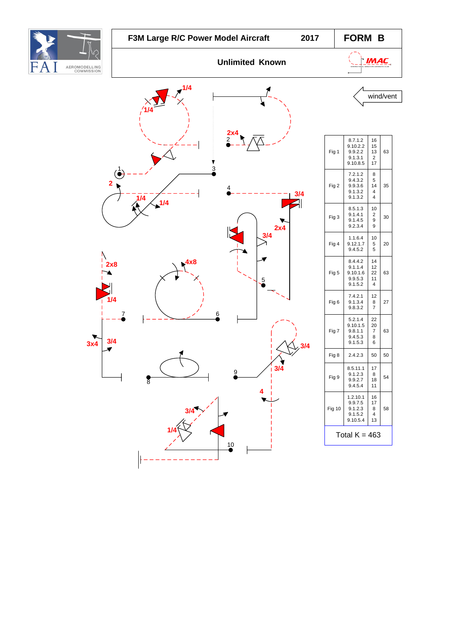|                                   | F3M Large R/C Power Model Aircraft           | 2017                  | FORM B      |                                                             |                                           |           |
|-----------------------------------|----------------------------------------------|-----------------------|-------------|-------------------------------------------------------------|-------------------------------------------|-----------|
| FΑ<br>AEROMODELLING<br>COMMISSION | <b>Unlimited Known</b>                       |                       | <b>IMAC</b> |                                                             |                                           |           |
|                                   | 1/4                                          |                       |             |                                                             |                                           | wind/vent |
|                                   | 3                                            | $\frac{2\times 4}{2}$ | Fig 1       | 8.7.1.2<br>9.10.2.2<br>9.9.2.2<br>9.1.3.1<br>9.10.8.5       | 16<br>15<br>13<br>$\overline{2}$<br>17    | 63        |
| $\overline{\mathbf{2}}$           | $\widetilde{\bullet}$<br>1/4<br>$\sqrt{1/4}$ | 3/4                   | Fig 2       | 7.2.1.2<br>9.4.3.2<br>9.9.3.6<br>9.1.3.2<br>9.1.3.2         | 8<br>5<br>14<br>4<br>$\overline{4}$       | 35        |
|                                   |                                              | 21<br>2x4             | Fig 3       | 8.5.1.3<br>9.1.4.1<br>9.1.4.5<br>9.2.3.4                    | 10<br>$\sqrt{2}$<br>$\boldsymbol{9}$<br>9 | 30        |
|                                   |                                              | 3/4                   | Fig 4       | 1.1.6.4<br>9.12.1.7<br>9.4.5.2                              | 10<br>5<br>$\mathbf 5$                    | 20        |
| 2x8                               | 4x8                                          | 5                     | Fig 5       | 8.4.4.2<br>9.1.1.4<br>9.10.1.6<br>9.9.5.3<br>9.1.5.2        | 14<br>12<br>22<br>11<br>4                 | 63        |
| 1/4                               |                                              |                       | Fig 6       | 7.4.2.1<br>9.1.3.4<br>9.8.3.2                               | 12<br>8<br>$\overline{7}$                 | 27        |
| 3/4<br>3x4                        | 7<br>6                                       | 3/4                   | Fig 7       | 5.2.1.4<br>9.10.1.5<br>9.8.1.1<br>9.4.5.3<br>9.1.5.3        | 22<br>20<br>$\overline{7}$<br>8<br>6      | 63        |
|                                   |                                              |                       | Fig 8       | 2.4.2.3                                                     | 50                                        | 50        |
|                                   | 8                                            | 3/4<br>9              | Fig 9       | 8.5.11.1<br>9.1.2.3<br>9.9.2.7<br>9.4.5.4                   | 17 <sub>1</sub><br>8<br>18<br>11          | 54        |
|                                   | 3/4                                          |                       | Fig 10      | $1.2.10.1$<br>9.9.7.5<br>$9.1.2.3$<br>$9.1.5.2$<br>9.10.5.4 | 16<br>17<br>8<br>4<br>13                  | 58        |
|                                   |                                              |                       |             | Total $K = 463$                                             |                                           |           |
|                                   |                                              | $\frac{10}{6}$        |             |                                                             |                                           |           |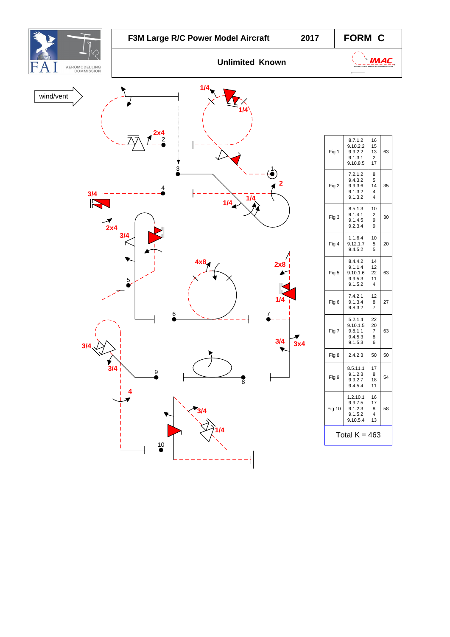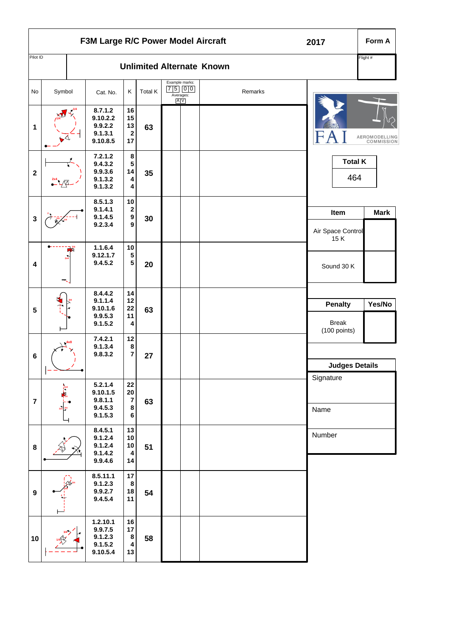| F3M Large R/C Power Model Aircraft |                     |  |                                                       |                                                   |         |                                               |  |                                  | 2017                                           | Form A                      |
|------------------------------------|---------------------|--|-------------------------------------------------------|---------------------------------------------------|---------|-----------------------------------------------|--|----------------------------------|------------------------------------------------|-----------------------------|
| Pilot ID                           |                     |  |                                                       |                                                   |         |                                               |  | <b>Unlimited Alternate Known</b> |                                                | Flight #                    |
| No                                 | Symbol              |  | Cat. No.                                              | Κ                                                 | Total K | Example marks:<br>$7500$<br>Averages:<br>A[V] |  | Remarks                          |                                                |                             |
| $\mathbf 1$                        |                     |  | 8.7.1.2<br>9.10.2.2<br>9.9.2.2<br>9.1.3.1<br>9.10.8.5 | 16<br>15<br>13<br>$\mathbf 2$<br>17               | 63      |                                               |  |                                  |                                                | AEROMODELLING<br>COMMISSION |
| $\boldsymbol{2}$                   |                     |  | 7.2.1.2<br>9.4.3.2<br>9.9.3.6<br>9.1.3.2<br>9.1.3.2   | $\bf8$<br>5<br>14<br>4<br>4                       | 35      |                                               |  |                                  |                                                | <b>Total K</b><br>464       |
| $\mathbf{3}$                       |                     |  | 8.5.1.3<br>9.1.4.1<br>9.1.4.5<br>9.2.3.4              | 10<br>2<br>$\boldsymbol{9}$<br>9                  | 30      |                                               |  |                                  | Item<br>Air Space Control                      | <b>Mark</b>                 |
| 4                                  |                     |  | 1.1.6.4<br>9.12.1.7<br>9.4.5.2                        | 10<br>5<br>${\bf 5}$                              | 20      |                                               |  |                                  | 15K<br>Sound 30 K                              |                             |
| $\sqrt{5}$                         |                     |  | 8.4.4.2<br>9.1.1.4<br>9.10.1.6<br>9.9.5.3<br>9.1.5.2  | 14<br>12<br>${\bf 22}$<br>11<br>4                 | 63      |                                               |  |                                  | <b>Penalty</b><br><b>Break</b><br>(100 points) | Yes/No                      |
| $\bf 6$                            | 4x8<br>$\mathbf{I}$ |  | 7.4.2.1<br>9.1.3.4<br>9.8.3.2                         | 12<br>8<br>$\overline{7}$                         | 27      |                                               |  |                                  | <b>Judges Details</b>                          |                             |
| $\overline{7}$                     |                     |  | 5.2.1.4<br>9.10.1.5<br>9.8.1.1<br>9.4.5.3<br>9.1.5.3  | 22<br>${\bf 20}$<br>$\overline{7}$<br>$\bf8$<br>6 | 63      |                                               |  |                                  | Signature<br>Name                              |                             |
| $\bf 8$                            |                     |  | 8.4.5.1<br>9.1.2.4<br>9.1.2.4<br>9.1.4.2<br>9.9.4.6   | 13<br>$10$<br>10<br>4<br>14                       | 51      |                                               |  |                                  | Number                                         |                             |
| $\boldsymbol{9}$                   |                     |  | 8.5.11.1<br>9.1.2.3<br>9.9.2.7<br>9.4.5.4             | 17<br>$\bf8$<br>18<br>11                          | 54      |                                               |  |                                  |                                                |                             |
| 10                                 |                     |  | 1.2.10.1<br>9.9.7.5<br>9.1.2.3<br>9.1.5.2<br>9.10.5.4 | 16<br>$17$<br>$\bf8$<br>4<br>13                   | 58      |                                               |  |                                  |                                                |                             |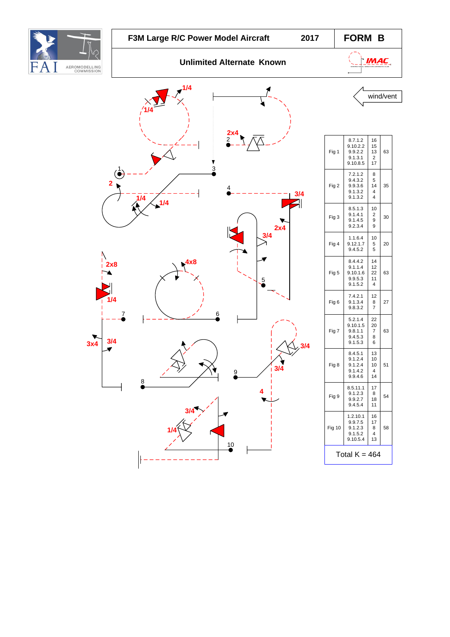





| Fig 1         | 8.7.1.2<br>9.10.2.2<br>9.9.2.2<br>9.1.3.1<br>9.10.8.5 | 16<br>15<br>13<br>2<br>17 | 63 |  |  |  |  |
|---------------|-------------------------------------------------------|---------------------------|----|--|--|--|--|
| Fig 2         | 7.2.1.2<br>9.4.3.2<br>9.9.3.6<br>9.1.3.2<br>9.1.3.2   | 8<br>5<br>14<br>4<br>4    | 35 |  |  |  |  |
| Fig 3         | 8.5.1.3<br>9.1.4.1<br>9.1.4.5<br>9.2.3.4              | 10<br>2<br>9<br>9         | 30 |  |  |  |  |
| Fig 4         | 1.1.6.4<br>9.12.1.7<br>9.4.5.2                        | 10<br>5<br>5              | 20 |  |  |  |  |
| Fig 5         | 8.4.4.2<br>9.1.1.4<br>9.10.1.6<br>9.9.5.3<br>9.1.5.2  | 14<br>12<br>22<br>11<br>4 | 63 |  |  |  |  |
| Fig 6         | 7.4.2.1<br>9.1.3.4<br>9.8.3.2                         | 12<br>8<br>7              | 27 |  |  |  |  |
| Fig 7         | 5.2.1.4<br>9.10.1.5<br>9.8.1.1<br>9.4.5.3<br>9.1.5.3  | 22<br>20<br>7<br>8<br>6   | 63 |  |  |  |  |
| Fig 8         | 8.4.5.1<br>9.1.2.4<br>9.1.2.4<br>9.1.4.2<br>9.9.4.6   | 13<br>10<br>10<br>4<br>14 | 51 |  |  |  |  |
| Fig 9         | 8.5.11.1<br>9.1.2.3<br>9.9.2.7<br>9.4.5.4             | 17<br>8<br>18<br>11       | 54 |  |  |  |  |
| Fig 10        | 1.2.10.1<br>9.9.7.5<br>9.1.2.3<br>9.1.5.2<br>9.10.5.4 | 16<br>17<br>8<br>4<br>13  | 58 |  |  |  |  |
| Total K = 464 |                                                       |                           |    |  |  |  |  |
|               |                                                       |                           |    |  |  |  |  |